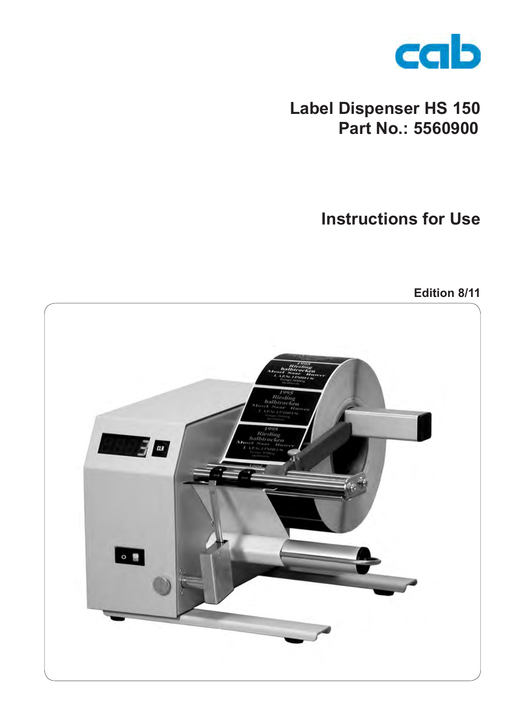

# **Label Dispenser HS 150 Part No.: 5560900**

## **Instructions for Use**

**Edition 8/11**

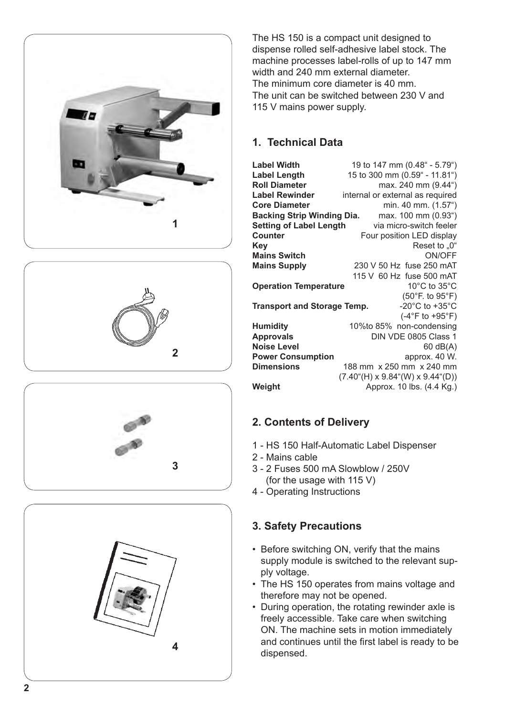







The HS 150 is a compact unit designed to dispense rolled self-adhesive label stock. The machine processes label-rolls of up to 147 mm width and 240 mm external diameter. The minimum core diameter is 40 mm. The unit can be switched between 230 V and 115 V mains power supply.

#### **1. Technical Data**

**Label Width** 19 to 147 mm (0.48" - 5.79")<br> **Label Length** 15 to 300 mm (0.59" - 11.81") **Label Length** 15 to 300 mm (0.59" - 11.81")<br> **Roll Diameter** max. 240 mm (9.44") **Roll Diameter** max. 240 mm (9.44")<br>**Label Rewinder** internal or external as required **Label Rewinder** internal or external as required<br>**Core Diameter** min 40 mm (1.57<sup>e</sup>) min. 40 mm. (1.57<sup>"</sup>)<br>max. 100 mm (0.93<sup>"</sup>) **Backing Strip Winding Dia.** max. 100 mm (0.93") **Setting of Label Length<br>Counter Counter** Four position LED display<br>**Kev** Reset to .0" **Reset to "0"<br>ON/OFF Mains Switch<br>Mains Supply Mains Supply** 230 V 50 Hz fuse 250 mAT 115 V 60 Hz fuse 500 mAT<br>10°C to 35°C **Operation Temperature** (50°F. to 95°F) **Transport and Storage Temp.** (-4°F to +95°F) **Humidity** 10%to 85% non-condensing<br>**Approvals** DIN VDE 0805 Class 1 **DIN VDE 0805 Class 1**<br>60 dB(A) **Noise Level** 60 dB(A) **Power Consumption**<br>Dimensions **Dimensions** 188 mm x 250 mm x 240 mm  $(7.40^{\circ}$ (H) x 9.84"(W) x 9.44"(D)) **Weight** Approx. 10 lbs. (4.4 Kg.)

#### **2. Contents of Delivery**

- 1 HS 150 Half-Automatic Label Dispenser
- 2 Mains cable
- 3 2 Fuses 500 mA Slowblow / 250V (for the usage with 115 V)
- 4 Operating Instructions

#### **3. Safety Precautions**

- Before switching ON, verify that the mains supply module is switched to the relevant sup ply voltage.
- The HS 150 operates from mains voltage and therefore may not be opened.
- During operation, the rotating rewinder axle is freely accessible. Take care when switching ON. The machine sets in motion immediately and continues until the first label is ready to be dispensed.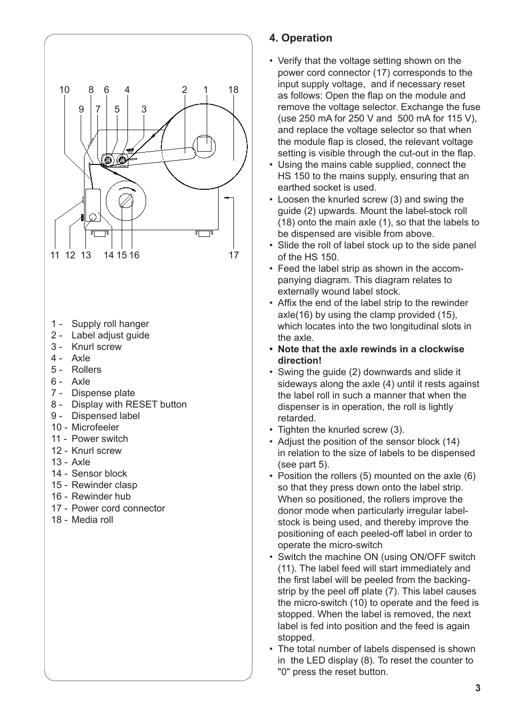

### **4. Operation**

- Verify that the voltage setting shown on the power cord connector (17) corresponds to the input supply voltage, and if necessary reset as follows: Open the flap on the module and remove the voltage selector. Exchange the fuse (use 250 mA for 250 V and 500 mA for 115 V), and replace the voltage selector so that when the module flap is closed, the relevant voltage setting is visible through the cut-out in the flap.
- Using the mains cable supplied, connect the HS 150 to the mains supply, ensuring that an earthed socket is used.
- Loosen the knurled screw (3) and swing the guide (2) upwards. Mount the label-stock roll (18) onto the main axle (1), so that the labels to be dispensed are visible from above.
- Slide the roll of label stock up to the side panel of the HS 150.
- Feed the label strip as shown in the accompanying diagram. This diagram relates to externally wound label stock.
- Affix the end of the label strip to the rewinder axle(16) by using the clamp provided (15), which locates into the two longitudinal slots in the axle.
- **• Note that the axle rewinds in a clockwise direction!**
- Swing the guide (2) downwards and slide it sideways along the axle (4) until it rests against the label roll in such a manner that when the dispenser is in operation, the roll is lightly retarded.
- Tighten the knurled screw (3).
- Adjust the position of the sensor block (14) in relation to the size of labels to be dispensed (see part 5).
- Position the rollers (5) mounted on the axle (6) so that they press down onto the label strip. When so positioned, the rollers improve the donor mode when particularly irregular labelstock is being used, and thereby improve the positioning of each peeled-off label in order to operate the micro-switch
- Switch the machine ON (using ON/OFF switch (11). The label feed will start immediately and the first label will be peeled from the backingstrip by the peel off plate (7). This label causes the micro-switch (10) to operate and the feed is stopped. When the label is removed, the next label is fed into position and the feed is again stopped.
- The total number of labels dispensed is shown in the LED display (8). To reset the counter to "0" press the reset button.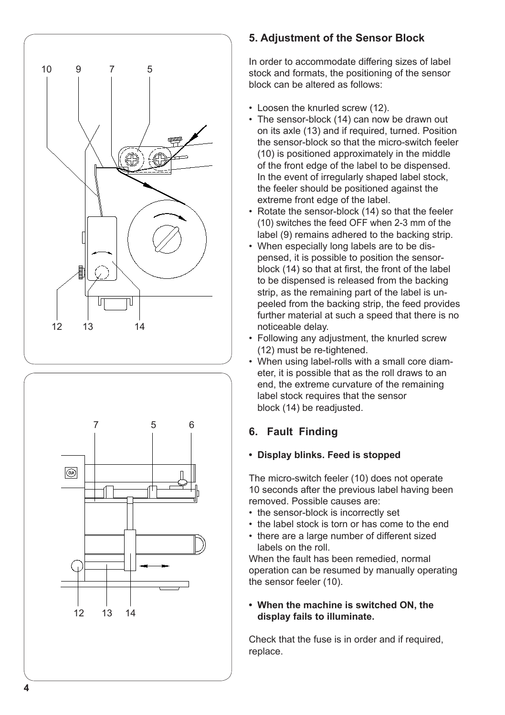



#### **5. Adjustment of the Sensor Block**

In order to accommodate differing sizes of label stock and formats, the positioning of the sensor block can be altered as follows:

- Loosen the knurled screw (12).
- The sensor-block (14) can now be drawn out on its axle (13) and if required, turned. Position the sensor-block so that the micro-switch feeler (10) is positioned approximately in the middle of the front edge of the label to be dispensed. In the event of irregularly shaped label stock, the feeler should be positioned against the extreme front edge of the label.
- Rotate the sensor-block (14) so that the feeler (10) switches the feed OFF when 2-3 mm of the label (9) remains adhered to the backing strip.
- When especially long labels are to be dispensed, it is possible to position the sensorblock (14) so that at first, the front of the label to be dispensed is released from the backing strip, as the remaining part of the label is unpeeled from the backing strip, the feed provides further material at such a speed that there is no noticeable delay.
- Following any adjustment, the knurled screw (12) must be re-tightened.
- When using label-rolls with a small core diameter, it is possible that as the roll draws to an end, the extreme curvature of the remaining label stock requires that the sensor block (14) be readjusted.

## **6. Fault Finding**

#### **• Display blinks. Feed is stopped**

The micro-switch feeler (10) does not operate 10 seconds after the previous label having been removed. Possible causes are:

- the sensor-block is incorrectly set
- the label stock is torn or has come to the end
- there are a large number of different sized labels on the roll.

When the fault has been remedied, normal operation can be resumed by manually operating the sensor feeler (10).

#### **• When the machine is switched ON, the display fails to illuminate.**

Check that the fuse is in order and if required, replace.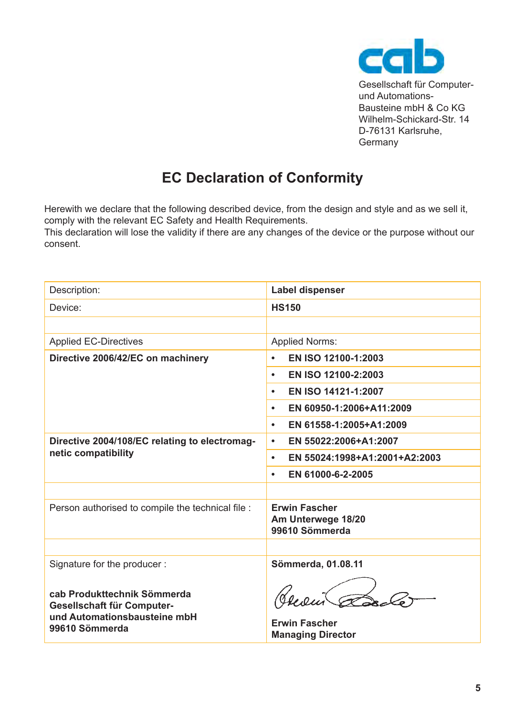

Gesellschaft für Computerund Automations-Bausteine mbH & Co KG Wilhelm-Schickard-Str. 14 D-76131 Karlsruhe, Germany

## **EC Declaration of Conformity**

Herewith we declare that the following described device, from the design and style and as we sell it, comply with the relevant EC Safety and Health Requirements.

This declaration will lose the validity if there are any changes of the device or the purpose without our consent.

| Description:                                                                                                | Label dispenser                                              |
|-------------------------------------------------------------------------------------------------------------|--------------------------------------------------------------|
| Device:                                                                                                     | <b>HS150</b>                                                 |
|                                                                                                             |                                                              |
| <b>Applied EC-Directives</b>                                                                                | <b>Applied Norms:</b>                                        |
| Directive 2006/42/EC on machinery                                                                           | EN ISO 12100-1:2003<br>٠                                     |
|                                                                                                             | EN ISO 12100-2:2003<br>٠                                     |
|                                                                                                             | EN ISO 14121-1:2007<br>٠                                     |
|                                                                                                             | EN 60950-1:2006+A11:2009<br>٠                                |
|                                                                                                             | EN 61558-1:2005+A1:2009<br>٠                                 |
| Directive 2004/108/EC relating to electromag-<br>netic compatibility                                        | EN 55022:2006+A1:2007<br>٠                                   |
|                                                                                                             | EN 55024:1998+A1:2001+A2:2003<br>٠                           |
|                                                                                                             | EN 61000-6-2-2005<br>٠                                       |
|                                                                                                             |                                                              |
| Person authorised to compile the technical file :                                                           | <b>Erwin Fascher</b><br>Am Unterwege 18/20<br>99610 Sömmerda |
|                                                                                                             |                                                              |
| Signature for the producer:                                                                                 | Sömmerda, 01.08.11                                           |
| cab Produkttechnik Sömmerda<br>Gesellschaft für Computer-<br>und Automationsbausteine mbH<br>99610 Sömmerda | <b>Erwin Fascher</b><br><b>Managing Director</b>             |